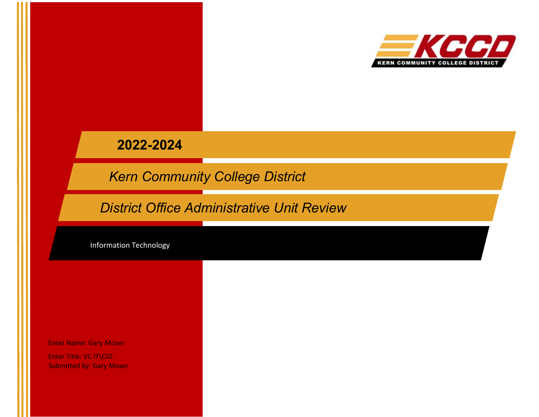

# **2022-2024**

*Kern Community College District*

*District Office Administrative Unit Review*

Information Technology

Enter Name: Gary Moser

Enter Title: VC IT\CIO Submitted by: Gary Moser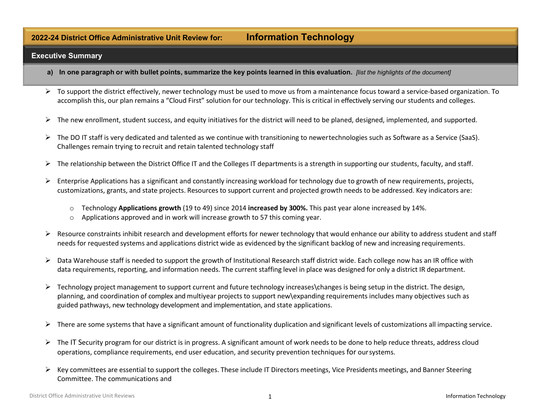# **2022-24 District Office Administrative Unit Review for: Information Technology**

#### **Executive Summary**

- a) In one paragraph or with bullet points, summarize the key points learned in this evaluation. [list the highlights of the document]
- $\triangleright$  To support the district effectively, newer technology must be used to move us from a maintenance focus toward a service-based organization. To accomplish this, our plan remains a "Cloud First" solution for our technology. This is critical in effectively serving our students and colleges.
- $\triangleright$  The new enrollment, student success, and equity initiatives for the district will need to be planed, designed, implemented, and supported.
- $\triangleright$  The DO IT staff is very dedicated and talented as we continue with transitioning to newertechnologies such as Software as a Service (SaaS). Challenges remain trying to recruit and retain talented technology staff
- $\triangleright$  The relationship between the District Office IT and the Colleges IT departments is a strength in supporting our students, faculty, and staff.
- $\triangleright$  Enterprise Applications has a significant and constantly increasing workload for technology due to growth of new requirements, projects, customizations, grants, and state projects. Resources to support current and projected growth needs to be addressed. Key indicators are:
	- o Technology **Applications growth** (19 to 49) since 2014 **increased by 300%.** This past year alone increased by 14%.
	- o Applications approved and in work will increase growth to 57 this coming year.
- $\triangleright$  Resource constraints inhibit research and development efforts for newer technology that would enhance our ability to address student and staff needs for requested systems and applications district wide as evidenced by the significant backlog of new and increasing requirements.
- $\triangleright$  Data Warehouse staff is needed to support the growth of Institutional Research staff district wide. Each college now has an IR office with data requirements, reporting, and information needs. The current staffing level in place was designed for only a district IR department.
- $\triangleright$  Technology project management to support current and future technology increases\changes is being setup in the district. The design, planning, and coordination of complex and multiyear projects to support new\expanding requirements includes many objectives such as guided pathways, new technology development and implementation, and state applications.
- $\triangleright$  There are some systems that have a significant amount of functionality duplication and significant levels of customizations all impacting service.
- $\triangleright$  The IT Security program for our district is in progress. A significant amount of work needs to be done to help reduce threats, address cloud operations, compliance requirements, end user education, and security prevention techniques for oursystems.
- $\triangleright$  Key committees are essential to support the colleges. These include IT Directors meetings, Vice Presidents meetings, and Banner Steering Committee. The communications and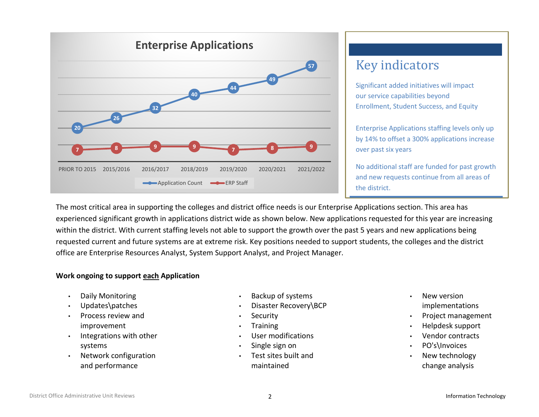

# Key indicators

Significant added initiatives will impact our service capabilities beyond Enrollment, Student Success, and Equity

Enterprise Applications staffing levels only up by 14% to offset a 300% applications increase over past six years

No additional staff are funded for past growth and new requests continue from all areas of the district.

The most critical area in supporting the colleges and district office needs is our Enterprise Applications section. This area has experienced significant growth in applications district wide as shown below. New applications requested for this year are increasing within the district. With current staffing levels not able to support the growth over the past 5 years and new applications being requested current and future systems are at extreme risk. Key positions needed to support students, the colleges and the district office are Enterprise Resources Analyst, System Support Analyst, and Project Manager.

# **Work ongoing to support each Application**

- Daily Monitoring
- Updates\patches
- Process review and improvement
- Integrations with other systems
- Network configuration and performance
- Backup of systems
- Disaster Recovery\BCP
- **Security**
- Training
- User modifications
- Single sign on
- Test sites built and maintained
- New version implementations
- Project management
- Helpdesk support
- Vendor contracts
- PO's\Invoices
- New technology change analysis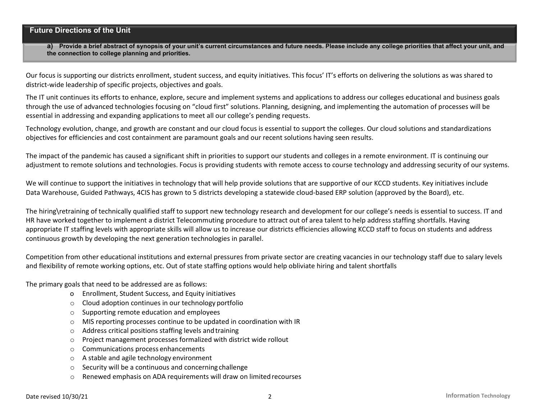# **Future Directions of the Unit**

**a) Provide a brief abstract of synopsis of your unit's current circumstances and future needs. Please include any college priorities that affect your unit, and the connection to college planning and priorities.**

Our focus is supporting our districts enrollment, student success, and equity initiatives. This focus' IT's efforts on delivering the solutions as was shared to district-wide leadership of specific projects, objectives and goals.

The IT unit continues its efforts to enhance, explore, secure and implement systems and applications to address our colleges educational and business goals through the use of advanced technologies focusing on "cloud first" solutions. Planning, designing, and implementing the automation of processes will be essential in addressing and expanding applications to meet all our college's pending requests.

Technology evolution, change, and growth are constant and our cloud focus is essential to support the colleges. Our cloud solutions and standardizations objectives for efficiencies and cost containment are paramount goals and our recent solutions having seen results.

The impact of the pandemic has caused a significant shift in priorities to support our students and colleges in a remote environment. IT is continuing our adjustment to remote solutions and technologies. Focus is providing students with remote access to course technology and addressing security of our systems.

We will continue to support the initiatives in technology that will help provide solutions that are supportive of our KCCD students. Key initiatives include Data Warehouse, Guided Pathways, 4CIS has grown to 5 districts developing a statewide cloud-based ERP solution (approved by the Board), etc.

The hiring\retraining of technically qualified staff to support new technology research and development for our college's needs is essential to success. IT and HR have worked together to implement a district Telecommuting procedure to attract out of area talent to help address staffing shortfalls. Having appropriate IT staffing levels with appropriate skills will allow us to increase our districts efficiencies allowing KCCD staff to focus on students and address continuous growth by developing the next generation technologies in parallel.

Competition from other educational institutions and external pressures from private sector are creating vacancies in our technology staff due to salary levels and flexibility of remote working options, etc. Out of state staffing options would help obliviate hiring and talent shortfalls

The primary goals that need to be addressed are as follows:

- o Enrollment, Student Success, and Equity initiatives
- o Cloud adoption continues in our technology portfolio
- o Supporting remote education and employees
- $\circ$  MIS reporting processes continue to be updated in coordination with IR
- o Address critical positions staffing levels andtraining
- o Project management processes formalized with district wide rollout
- o Communications process enhancements
- o A stable and agile technology environment
- o Security will be a continuous and concerningchallenge
- o Renewed emphasis on ADA requirements will draw on limitedrecourses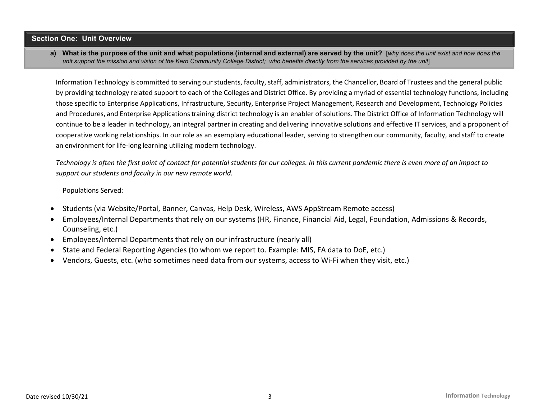### **Section One: Unit Overview**

a) What is the purpose of the unit and what populations (internal and external) are served by the unit? [why does the unit exist and how does the unit support the mission and vision of the Kern Community College District; who benefits directly from the services provided by the unit

Information Technology is committed to serving ourstudents, faculty, staff, administrators, the Chancellor, Board of Trustees and the general public by providing technology related support to each of the Colleges and District Office. By providing a myriad of essential technology functions, including those specific to Enterprise Applications, Infrastructure, Security, Enterprise Project Management, Research and Development, Technology Policies and Procedures, and Enterprise Applications training district technology is an enabler of solutions. The District Office of Information Technology will continue to be a leader in technology, an integral partner in creating and delivering innovative solutions and effective IT services, and a proponent of cooperative working relationships. In our role as an exemplary educational leader, serving to strengthen our community, faculty, and staff to create an environment for life-long learning utilizing modern technology.

*Technology is often the first point of contact for potential students for our colleges. In this current pandemic there is even more of an impact to support our students and faculty in our new remote world.* 

Populations Served:

- Students (via Website/Portal, Banner, Canvas, Help Desk, Wireless, AWS AppStream Remote access)
- Employees/Internal Departments that rely on our systems (HR, Finance, Financial Aid, Legal, Foundation, Admissions & Records, Counseling, etc.)
- Employees/Internal Departments that rely on our infrastructure (nearly all)
- State and Federal Reporting Agencies (to whom we report to. Example: MIS, FA data to DoE, etc.)
- Vendors, Guests, etc. (who sometimes need data from our systems, access to Wi-Fi when they visit, etc.)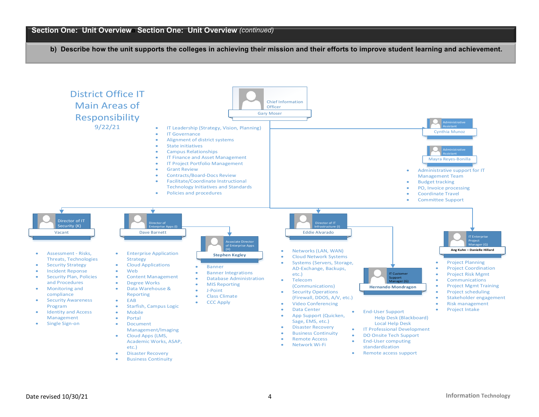**b) Describe how the unit supports the colleges in achieving their mission and their efforts to improve student learning and achievement.** 

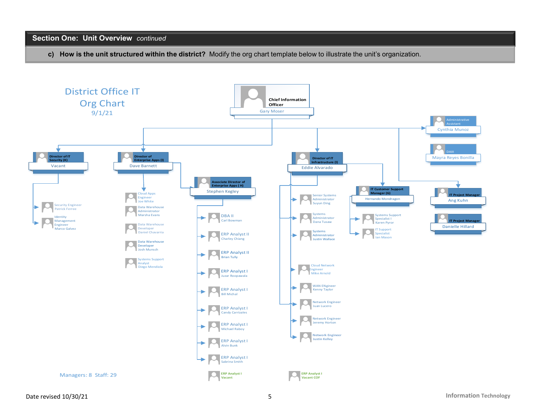# **Section One: Unit Overview** *continued*

**c) How is the unit structured within the district?** Modify the org chart template below to illustrate the unit's organization.

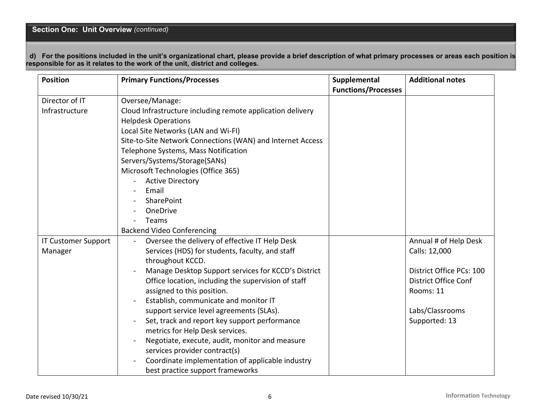# **Section One: Unit Overview** *(continued)*

 **d) For the positions included in the unit's organizational chart, please provide a brief description of what primary processes or areas each position is responsible for as it relates to the work of the unit, district and colleges.**

| <b>Position</b>            | <b>Primary Functions/Processes</b>                         | Supplemental               | <b>Additional notes</b>     |
|----------------------------|------------------------------------------------------------|----------------------------|-----------------------------|
|                            |                                                            | <b>Functions/Processes</b> |                             |
| Director of IT             | Oversee/Manage:                                            |                            |                             |
| Infrastructure             | Cloud Infrastructure including remote application delivery |                            |                             |
|                            | <b>Helpdesk Operations</b>                                 |                            |                             |
|                            | Local Site Networks (LAN and Wi-FI)                        |                            |                             |
|                            | Site-to-Site Network Connections (WAN) and Internet Access |                            |                             |
|                            | Telephone Systems, Mass Notification                       |                            |                             |
|                            | Servers/Systems/Storage(SANs)                              |                            |                             |
|                            | Microsoft Technologies (Office 365)                        |                            |                             |
|                            | <b>Active Directory</b>                                    |                            |                             |
|                            | Email                                                      |                            |                             |
|                            | SharePoint                                                 |                            |                             |
|                            | OneDrive                                                   |                            |                             |
|                            | Teams                                                      |                            |                             |
|                            | <b>Backend Video Conferencing</b>                          |                            |                             |
| <b>IT Customer Support</b> | Oversee the delivery of effective IT Help Desk<br>$\sim$   |                            | Annual # of Help Desk       |
| Manager                    | Services (HDS) for students, faculty, and staff            |                            | Calls: 12,000               |
|                            | throughout KCCD.                                           |                            |                             |
|                            | Manage Desktop Support services for KCCD's District        |                            | District Office PCs: 100    |
|                            | Office location, including the supervision of staff        |                            | <b>District Office Conf</b> |
|                            | assigned to this position.                                 |                            | Rooms: 11                   |
|                            | Establish, communicate and monitor IT                      |                            |                             |
|                            | support service level agreements (SLAs).                   |                            | Labs/Classrooms             |
|                            | Set, track and report key support performance              |                            | Supported: 13               |
|                            | metrics for Help Desk services.                            |                            |                             |
|                            | Negotiate, execute, audit, monitor and measure             |                            |                             |
|                            | services provider contract(s)                              |                            |                             |
|                            | Coordinate implementation of applicable industry           |                            |                             |
|                            | best practice support frameworks                           |                            |                             |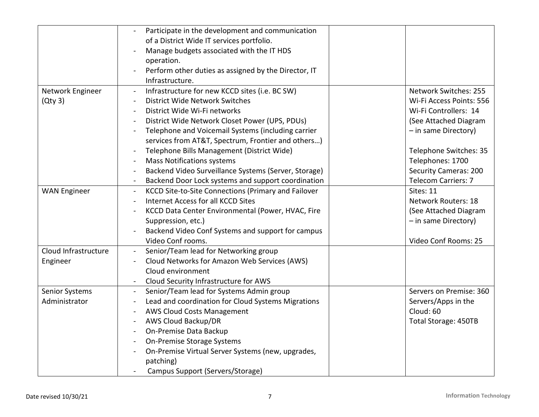|                       | Participate in the development and communication     |                             |
|-----------------------|------------------------------------------------------|-----------------------------|
|                       | of a District Wide IT services portfolio.            |                             |
|                       | Manage budgets associated with the IT HDS            |                             |
|                       | operation.                                           |                             |
|                       | Perform other duties as assigned by the Director, IT |                             |
|                       | Infrastructure.                                      |                             |
| Network Engineer      | Infrastructure for new KCCD sites (i.e. BC SW)       | Network Switches: 255       |
| (Qty3)                | District Wide Network Switches                       | Wi-Fi Access Points: 556    |
|                       | District Wide Wi-Fi networks                         | Wi-Fi Controllers: 14       |
|                       | District Wide Network Closet Power (UPS, PDUs)       | (See Attached Diagram       |
|                       | Telephone and Voicemail Systems (including carrier   | - in same Directory)        |
|                       | services from AT&T, Spectrum, Frontier and others)   |                             |
|                       | Telephone Bills Management (District Wide)           | Telephone Switches: 35      |
|                       | <b>Mass Notifications systems</b>                    | Telephones: 1700            |
|                       | Backend Video Surveillance Systems (Server, Storage) | Security Cameras: 200       |
|                       | Backend Door Lock systems and support coordination   | <b>Telecom Carriers: 7</b>  |
| <b>WAN Engineer</b>   | KCCD Site-to-Site Connections (Primary and Failover  | Sites: 11                   |
|                       | Internet Access for all KCCD Sites                   | <b>Network Routers: 18</b>  |
|                       | KCCD Data Center Environmental (Power, HVAC, Fire    | (See Attached Diagram       |
|                       | Suppression, etc.)                                   | - in same Directory)        |
|                       | Backend Video Conf Systems and support for campus    |                             |
|                       |                                                      | Video Conf Rooms: 25        |
|                       | Video Conf rooms.                                    |                             |
| Cloud Infrastructure  | Senior/Team lead for Networking group                |                             |
| Engineer              | Cloud Networks for Amazon Web Services (AWS)         |                             |
|                       | Cloud environment                                    |                             |
|                       | Cloud Security Infrastructure for AWS<br>$\sim$      |                             |
| <b>Senior Systems</b> | Senior/Team lead for Systems Admin group             | Servers on Premise: 360     |
| Administrator         | Lead and coordination for Cloud Systems Migrations   | Servers/Apps in the         |
|                       | <b>AWS Cloud Costs Management</b>                    | Cloud: 60                   |
|                       | AWS Cloud Backup/DR                                  | <b>Total Storage: 450TB</b> |
|                       | On-Premise Data Backup                               |                             |
|                       | On-Premise Storage Systems                           |                             |
|                       | On-Premise Virtual Server Systems (new, upgrades,    |                             |
|                       | patching)                                            |                             |
|                       | Campus Support (Servers/Storage)                     |                             |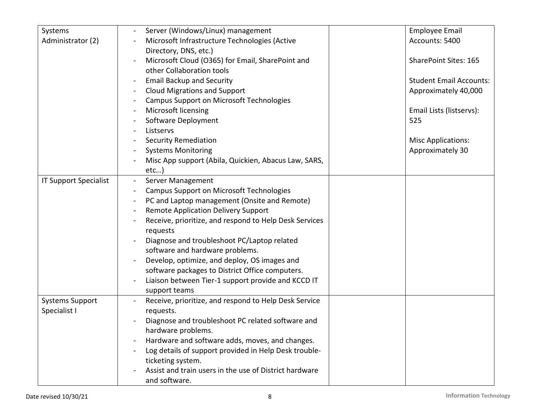| Systems                      | Server (Windows/Linux) management                      | <b>Employee Email</b>          |
|------------------------------|--------------------------------------------------------|--------------------------------|
| Administrator (2)            | Microsoft Infrastructure Technologies (Active          | Accounts: 5400                 |
|                              | Directory, DNS, etc.)                                  |                                |
|                              | Microsoft Cloud (O365) for Email, SharePoint and       | <b>SharePoint Sites: 165</b>   |
|                              | other Collaboration tools                              |                                |
|                              | <b>Email Backup and Security</b>                       | <b>Student Email Accounts:</b> |
|                              | <b>Cloud Migrations and Support</b>                    | Approximately 40,000           |
|                              | <b>Campus Support on Microsoft Technologies</b>        |                                |
|                              | Microsoft licensing                                    | Email Lists (listservs):       |
|                              | Software Deployment                                    | 525                            |
|                              | Listservs                                              |                                |
|                              | <b>Security Remediation</b>                            | <b>Misc Applications:</b>      |
|                              | <b>Systems Monitoring</b>                              | Approximately 30               |
|                              | Misc App support (Abila, Quickien, Abacus Law, SARS,   |                                |
|                              | etc)                                                   |                                |
| <b>IT Support Specialist</b> | Server Management                                      |                                |
|                              | <b>Campus Support on Microsoft Technologies</b>        |                                |
|                              | PC and Laptop management (Onsite and Remote)           |                                |
|                              | <b>Remote Application Delivery Support</b>             |                                |
|                              | Receive, prioritize, and respond to Help Desk Services |                                |
|                              | requests                                               |                                |
|                              | Diagnose and troubleshoot PC/Laptop related            |                                |
|                              | software and hardware problems.                        |                                |
|                              | Develop, optimize, and deploy, OS images and           |                                |
|                              | software packages to District Office computers.        |                                |
|                              | Liaison between Tier-1 support provide and KCCD IT     |                                |
|                              | support teams                                          |                                |
| <b>Systems Support</b>       | Receive, prioritize, and respond to Help Desk Service  |                                |
| Specialist I                 | requests.                                              |                                |
|                              | Diagnose and troubleshoot PC related software and      |                                |
|                              | hardware problems.                                     |                                |
|                              | Hardware and software adds, moves, and changes.        |                                |
|                              | Log details of support provided in Help Desk trouble-  |                                |
|                              | ticketing system.                                      |                                |
|                              | Assist and train users in the use of District hardware |                                |
|                              | and software.                                          |                                |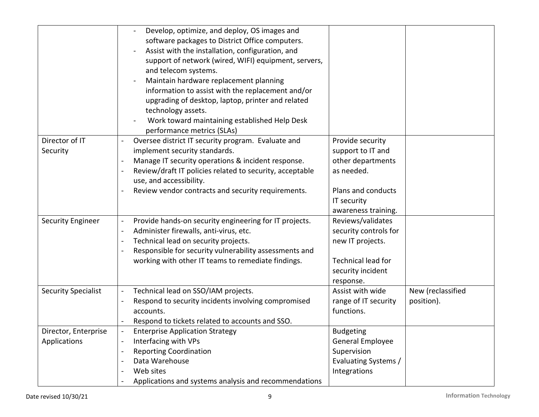|                            | Develop, optimize, and deploy, OS images and             |                       |                   |
|----------------------------|----------------------------------------------------------|-----------------------|-------------------|
|                            | software packages to District Office computers.          |                       |                   |
|                            | Assist with the installation, configuration, and         |                       |                   |
|                            | support of network (wired, WIFI) equipment, servers,     |                       |                   |
|                            | and telecom systems.                                     |                       |                   |
|                            | Maintain hardware replacement planning                   |                       |                   |
|                            | information to assist with the replacement and/or        |                       |                   |
|                            | upgrading of desktop, laptop, printer and related        |                       |                   |
|                            | technology assets.                                       |                       |                   |
|                            | Work toward maintaining established Help Desk            |                       |                   |
|                            | performance metrics (SLAs)                               |                       |                   |
| Director of IT             | Oversee district IT security program. Evaluate and       | Provide security      |                   |
| Security                   | implement security standards.                            | support to IT and     |                   |
|                            | Manage IT security operations & incident response.       | other departments     |                   |
|                            | Review/draft IT policies related to security, acceptable | as needed.            |                   |
|                            | use, and accessibility.                                  |                       |                   |
|                            | Review vendor contracts and security requirements.       | Plans and conducts    |                   |
|                            |                                                          | IT security           |                   |
|                            |                                                          | awareness training.   |                   |
| <b>Security Engineer</b>   | Provide hands-on security engineering for IT projects.   | Reviews/validates     |                   |
|                            | Administer firewalls, anti-virus, etc.                   | security controls for |                   |
|                            | Technical lead on security projects.                     | new IT projects.      |                   |
|                            | Responsible for security vulnerability assessments and   |                       |                   |
|                            | working with other IT teams to remediate findings.       | Technical lead for    |                   |
|                            |                                                          | security incident     |                   |
|                            |                                                          | response.             |                   |
| <b>Security Specialist</b> | Technical lead on SSO/IAM projects.                      | Assist with wide      | New (reclassified |
|                            | Respond to security incidents involving compromised      | range of IT security  | position).        |
|                            | accounts.                                                | functions.            |                   |
|                            | Respond to tickets related to accounts and SSO.          |                       |                   |
| Director, Enterprise       | <b>Enterprise Application Strategy</b>                   | <b>Budgeting</b>      |                   |
| Applications               | Interfacing with VPs                                     | General Employee      |                   |
|                            | <b>Reporting Coordination</b>                            | Supervision           |                   |
|                            | Data Warehouse                                           | Evaluating Systems /  |                   |
|                            | Web sites                                                | Integrations          |                   |
|                            | Applications and systems analysis and recommendations    |                       |                   |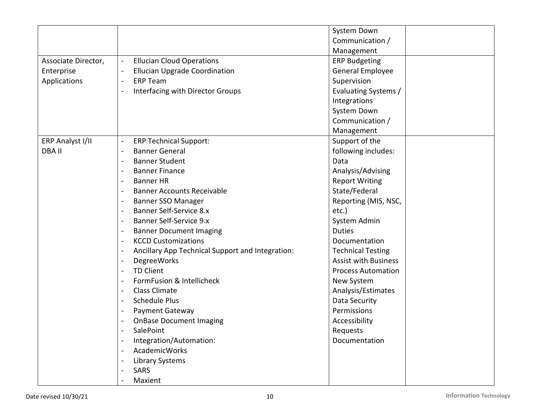|                     |                                                                              | System Down                 |
|---------------------|------------------------------------------------------------------------------|-----------------------------|
|                     |                                                                              |                             |
|                     |                                                                              | Communication /             |
|                     |                                                                              | Management                  |
| Associate Director, | <b>Ellucian Cloud Operations</b><br>$\blacksquare$                           | <b>ERP Budgeting</b>        |
| Enterprise          | <b>Ellucian Upgrade Coordination</b>                                         | General Employee            |
| Applications        | <b>ERP Team</b>                                                              | Supervision                 |
|                     | Interfacing with Director Groups                                             | Evaluating Systems /        |
|                     |                                                                              | Integrations                |
|                     |                                                                              | System Down                 |
|                     |                                                                              | Communication /             |
|                     |                                                                              | Management                  |
| ERP Analyst I/II    | <b>ERP Technical Support:</b><br>$\overline{\phantom{a}}$                    | Support of the              |
| <b>DBAII</b>        | <b>Banner General</b>                                                        | following includes:         |
|                     | <b>Banner Student</b><br>$\blacksquare$                                      | Data                        |
|                     | <b>Banner Finance</b><br>$\overline{\phantom{a}}$                            | Analysis/Advising           |
|                     | <b>Banner HR</b><br>$\overline{\phantom{a}}$                                 | <b>Report Writing</b>       |
|                     | <b>Banner Accounts Receivable</b>                                            | State/Federal               |
|                     | Banner SSO Manager<br>$\overline{\phantom{a}}$                               | Reporting (MIS, NSC,        |
|                     | Banner Self-Service 8.x<br>$\blacksquare$                                    | etc.)                       |
|                     | <b>Banner Self-Service 9.x</b><br>$\overline{\phantom{a}}$                   | System Admin                |
|                     | <b>Banner Document Imaging</b>                                               | <b>Duties</b>               |
|                     | <b>KCCD Customizations</b><br>$\overline{\phantom{a}}$                       | Documentation               |
|                     | Ancillary App Technical Support and Integration:<br>$\overline{\phantom{a}}$ | <b>Technical Testing</b>    |
|                     | DegreeWorks                                                                  | <b>Assist with Business</b> |
|                     | <b>TD Client</b><br>$\overline{\phantom{a}}$                                 | <b>Process Automation</b>   |
|                     | FormFusion & Intellicheck                                                    | New System                  |
|                     | <b>Class Climate</b><br>$\overline{\phantom{a}}$                             | Analysis/Estimates          |
|                     | <b>Schedule Plus</b><br>$\blacksquare$                                       | Data Security               |
|                     | Payment Gateway<br>$\overline{\phantom{a}}$                                  | Permissions                 |
|                     | <b>OnBase Document Imaging</b>                                               | Accessibility               |
|                     | SalePoint                                                                    | Requests                    |
|                     | Integration/Automation:<br>$\blacksquare$                                    | Documentation               |
|                     | AcademicWorks                                                                |                             |
|                     | <b>Library Systems</b>                                                       |                             |
|                     | SARS                                                                         |                             |
|                     | Maxient                                                                      |                             |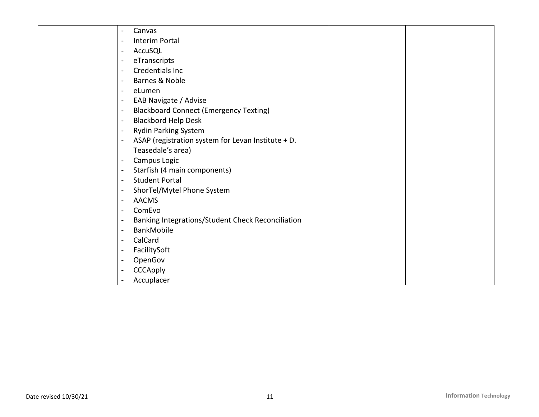| Canvas                                             |  |
|----------------------------------------------------|--|
| Interim Portal                                     |  |
| AccuSQL                                            |  |
| eTranscripts                                       |  |
| Credentials Inc                                    |  |
| Barnes & Noble                                     |  |
| eLumen                                             |  |
| EAB Navigate / Advise                              |  |
| <b>Blackboard Connect (Emergency Texting)</b>      |  |
| <b>Blackbord Help Desk</b>                         |  |
| <b>Rydin Parking System</b>                        |  |
| ASAP (registration system for Levan Institute + D. |  |
| Teasedale's area)                                  |  |
| Campus Logic                                       |  |
| Starfish (4 main components)                       |  |
| <b>Student Portal</b>                              |  |
| ShorTel/Mytel Phone System                         |  |
| <b>AACMS</b>                                       |  |
| ComEvo                                             |  |
| Banking Integrations/Student Check Reconciliation  |  |
| BankMobile                                         |  |
| CalCard                                            |  |
| FacilitySoft                                       |  |
| OpenGov                                            |  |
| CCCApply                                           |  |
| Accuplacer                                         |  |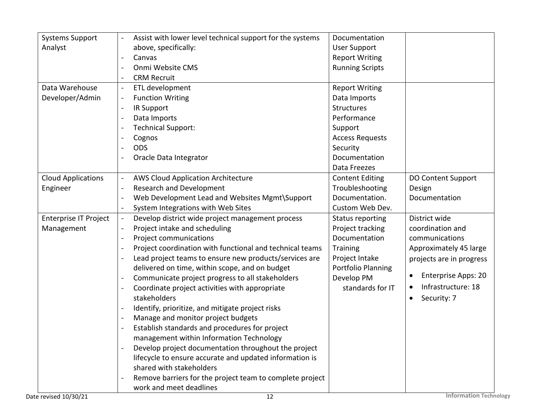| <b>Systems Support</b>       | Assist with lower level technical support for the systems | Documentation           |                               |
|------------------------------|-----------------------------------------------------------|-------------------------|-------------------------------|
| Analyst                      | above, specifically:                                      | <b>User Support</b>     |                               |
|                              | Canvas                                                    | <b>Report Writing</b>   |                               |
|                              | Onmi Website CMS                                          | <b>Running Scripts</b>  |                               |
|                              | <b>CRM Recruit</b>                                        |                         |                               |
| Data Warehouse               | ETL development                                           | <b>Report Writing</b>   |                               |
| Developer/Admin              | <b>Function Writing</b>                                   | Data Imports            |                               |
|                              | IR Support                                                | <b>Structures</b>       |                               |
|                              | Data Imports                                              | Performance             |                               |
|                              | <b>Technical Support:</b>                                 | Support                 |                               |
|                              | Cognos                                                    | <b>Access Requests</b>  |                               |
|                              | <b>ODS</b>                                                | Security                |                               |
|                              | Oracle Data Integrator                                    | Documentation           |                               |
|                              |                                                           | Data Freezes            |                               |
| <b>Cloud Applications</b>    | <b>AWS Cloud Application Architecture</b>                 | <b>Content Editing</b>  | <b>DO Content Support</b>     |
| Engineer                     | <b>Research and Development</b>                           | Troubleshooting         | Design                        |
|                              | Web Development Lead and Websites Mgmt\Support            | Documentation.          | Documentation                 |
|                              | System Integrations with Web Sites                        | Custom Web Dev.         |                               |
| <b>Enterprise IT Project</b> | Develop district wide project management process          | <b>Status reporting</b> | District wide                 |
| Management                   | Project intake and scheduling                             | Project tracking        | coordination and              |
|                              | Project communications                                    | Documentation           | communications                |
|                              | Project coordination with functional and technical teams  | <b>Training</b>         | Approximately 45 large        |
|                              | Lead project teams to ensure new products/services are    | Project Intake          | projects are in progress      |
|                              | delivered on time, within scope, and on budget            | Portfolio Planning      |                               |
|                              | Communicate project progress to all stakeholders          | Develop PM              | <b>Enterprise Apps: 20</b>    |
|                              | Coordinate project activities with appropriate            | standards for IT        | Infrastructure: 18            |
|                              | stakeholders                                              |                         | Security: 7<br>$\bullet$      |
|                              | Identify, prioritize, and mitigate project risks          |                         |                               |
|                              | Manage and monitor project budgets                        |                         |                               |
|                              | Establish standards and procedures for project            |                         |                               |
|                              | management within Information Technology                  |                         |                               |
|                              | Develop project documentation throughout the project      |                         |                               |
|                              | lifecycle to ensure accurate and updated information is   |                         |                               |
|                              | shared with stakeholders                                  |                         |                               |
|                              | Remove barriers for the project team to complete project  |                         |                               |
|                              | work and meet deadlines                                   |                         |                               |
| Date revised 10/30/21        | 12                                                        |                         | <b>Information Technology</b> |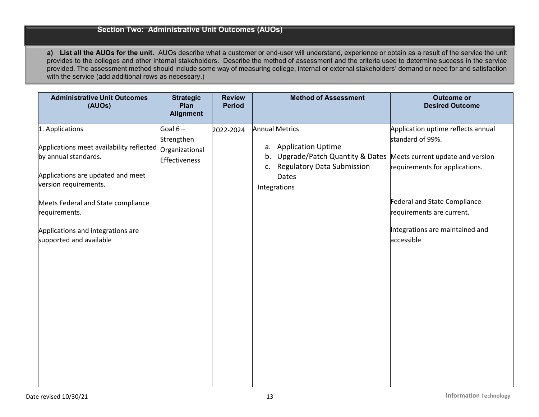#### **Section Two: Administrative Unit Outcomes (AUOs)**

**a) List all the AUOs for the unit.** AUOs describe what a customer or end-user will understand, experience or obtain as a result of the service the unit provides to the colleges and other internal stakeholders. Describe the method of assessment and the criteria used to determine success in the service provided. The assessment method should include some way of measuring college, internal or external stakeholders' demand or need for and satisfaction with the service (add additional rows as necessary.)

| <b>Administrative Unit Outcomes</b><br>(AUOs)                                                                                                     | <b>Strategic</b><br>Plan<br><b>Alignment</b>               | <b>Review</b><br><b>Period</b> | <b>Method of Assessment</b>                                                                                                                                       | <b>Outcome or</b><br><b>Desired Outcome</b>                                                                                  |
|---------------------------------------------------------------------------------------------------------------------------------------------------|------------------------------------------------------------|--------------------------------|-------------------------------------------------------------------------------------------------------------------------------------------------------------------|------------------------------------------------------------------------------------------------------------------------------|
| 1. Applications<br>Applications meet availability reflected<br>by annual standards.<br>Applications are updated and meet<br>version requirements. | Goal $6-$<br>Strengthen<br>Organizational<br>Effectiveness | 2022-2024                      | <b>Annual Metrics</b><br>a. Application Uptime<br>Upgrade/Patch Quantity & Dates<br>b.<br><b>Regulatory Data Submission</b><br>C.<br><b>Dates</b><br>Integrations | Application uptime reflects annual<br>standard of 99%.<br>Meets current update and version<br>requirements for applications. |
| Meets Federal and State compliance<br>requirements.                                                                                               |                                                            |                                |                                                                                                                                                                   | <b>Federal and State Compliance</b><br>requirements are current.                                                             |
| Applications and integrations are<br>supported and available                                                                                      |                                                            |                                |                                                                                                                                                                   | Integrations are maintained and<br>accessible                                                                                |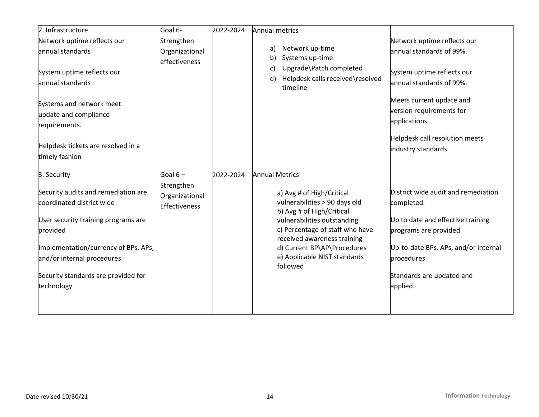| 2. Infrastructure                                                                                                                                           | Goal 6-                                       | 2022-2024 | Annual metrics                                                                                                                                                                                                          |                                                                                                                                                          |
|-------------------------------------------------------------------------------------------------------------------------------------------------------------|-----------------------------------------------|-----------|-------------------------------------------------------------------------------------------------------------------------------------------------------------------------------------------------------------------------|----------------------------------------------------------------------------------------------------------------------------------------------------------|
| Network uptime reflects our<br>annual standards                                                                                                             | Strengthen<br>Organizational                  |           | Network up-time<br>a)<br>Systems up-time<br>b)                                                                                                                                                                          | Network uptime reflects our<br>annual standards of 99%.                                                                                                  |
| System uptime reflects our<br>annual standards                                                                                                              | effectiveness                                 |           | Upgrade\Patch completed<br>C)<br>Helpdesk calls received\resolved<br>d)<br>timeline                                                                                                                                     | System uptime reflects our<br>annual standards of 99%.                                                                                                   |
| Systems and network meet<br>update and compliance<br>requirements.                                                                                          |                                               |           |                                                                                                                                                                                                                         | Meets current update and<br>version requirements for<br>applications.                                                                                    |
| Helpdesk tickets are resolved in a<br>timely fashion                                                                                                        |                                               |           |                                                                                                                                                                                                                         | Helpdesk call resolution meets<br>industry standards                                                                                                     |
| 3. Security                                                                                                                                                 | Goal $6-$                                     | 2022-2024 | <b>Annual Metrics</b>                                                                                                                                                                                                   |                                                                                                                                                          |
| Security audits and remediation are<br>coordinated district wide<br>User security training programs are<br>provided<br>Implementation/currency of BPs, APs, | Strengthen<br>Organizational<br>Effectiveness |           | a) Avg # of High/Critical<br>vulnerabilities > 90 days old<br>b) Avg # of High/Critical<br>vulnerabilities outstanding<br>c) Percentage of staff who have<br>received awareness training<br>d) Current BP\AP\Procedures | District wide audit and remediation<br>completed.<br>Up to date and effective training<br>programs are provided.<br>Up-to-date BPs, APs, and/or internal |
| and/or internal procedures                                                                                                                                  |                                               |           | e) Applicable NIST standards<br>followed                                                                                                                                                                                | procedures                                                                                                                                               |
| Security standards are provided for<br>technology                                                                                                           |                                               |           |                                                                                                                                                                                                                         | Standards are updated and<br>applied.                                                                                                                    |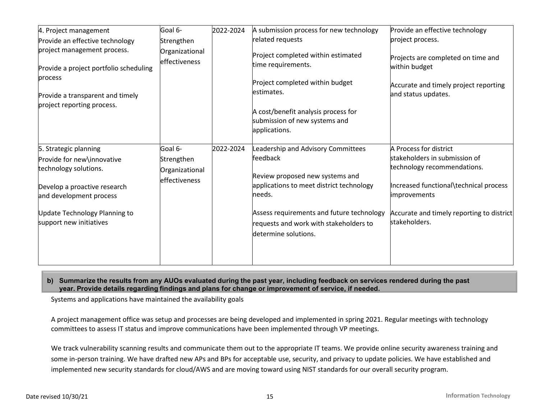| 4. Project management<br>Provide an effective technology<br>project management process.<br>Provide a project portfolio scheduling<br>process<br>Provide a transparent and timely<br>project reporting process. | Goal 6-<br>Strengthen<br>Organizational<br><b>effectiveness</b> | 2022-2024 | A submission process for new technology<br>related requests<br>Project completed within estimated<br>time requirements.<br>Project completed within budget<br>estimates.<br>A cost/benefit analysis process for<br>submission of new systems and<br>applications. | Provide an effective technology<br>project process.<br>Projects are completed on time and<br>within budget<br>Accurate and timely project reporting<br>and status updates.                                     |
|----------------------------------------------------------------------------------------------------------------------------------------------------------------------------------------------------------------|-----------------------------------------------------------------|-----------|-------------------------------------------------------------------------------------------------------------------------------------------------------------------------------------------------------------------------------------------------------------------|----------------------------------------------------------------------------------------------------------------------------------------------------------------------------------------------------------------|
| 5. Strategic planning<br>Provide for new\innovative<br>technology solutions.<br>Develop a proactive research<br>and development process<br>Update Technology Planning to<br>support new initiatives            | Goal 6-<br>Strengthen<br>Organizational<br>effectiveness        | 2022-2024 | Leadership and Advisory Committees<br>feedback<br>Review proposed new systems and<br>applications to meet district technology<br>needs.<br>Assess requirements and future technology<br>requests and work with stakeholders to<br>determine solutions.            | A Process for district<br>stakeholders in submission of<br>technology recommendations.<br>Increased functional\technical process<br>improvements<br>Accurate and timely reporting to district<br>stakeholders. |

#### **b) Summarize the results from any AUOs evaluated during the past year, including feedback on services rendered during the past year. Provide details regarding findings and plans for change or improvement of service, if needed.**

Systems and applications have maintained the availability goals

A project management office was setup and processes are being developed and implemented in spring 2021. Regular meetings with technology committees to assess IT status and improve communications have been implemented through VP meetings.

We track vulnerability scanning results and communicate them out to the appropriate IT teams. We provide online security awareness training and some in-person training. We have drafted new APs and BPs for acceptable use, security, and privacy to update policies. We have established and implemented new security standards for cloud/AWS and are moving toward using NIST standards for our overall security program.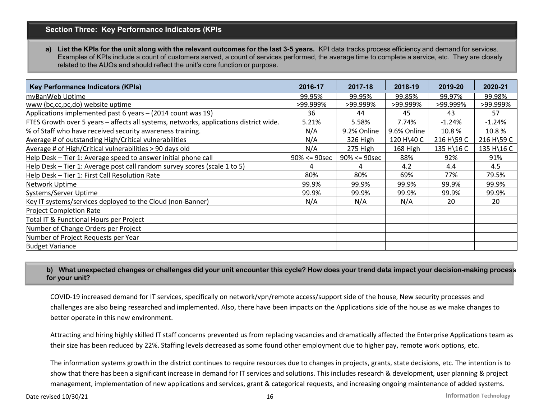# **Section Three: Key Performance Indicators (KPIs**

a) List the KPIs for the unit along with the relevant outcomes for the last 3-5 years. KPI data tracks process efficiency and demand for services. Examples of KPIs include a count of customers served, a count of services performed, the average time to complete a service, etc. They are closely related to the AUOs and should reflect the unit's core function or purpose.

| <b>Key Performance Indicators (KPIs)</b>                                              | 2016-17         | 2017-18         | 2018-19     | 2019-20    | 2020-21    |
|---------------------------------------------------------------------------------------|-----------------|-----------------|-------------|------------|------------|
| myBanWeb Uptime                                                                       | 99.95%          | 99.95%          | 99.85%      | 99.97%     | 99.98%     |
| www (bc,cc,pc,do) website uptime                                                      | >99.999%        | >99.999%        | >99.999%    | >99.999%   | >99.999%   |
| Applications implemented past 6 years - (2014 count was 19)                           | 36              | 44              | 45          | 43         | 57         |
| FTES Growth over 5 years - affects all systems, networks, applications district wide. | 5.21%           | 5.58%           | 7.74%       | $-1.24%$   | $-1.24%$   |
| % of Staff who have received security awareness training.                             | N/A             | 9.2% Online     | 9.6% Online | 10.8%      | 10.8%      |
| Average # of outstanding High/Critical vulnerabilities                                | N/A             | 326 High        | 120 H 40 C  | 216 H\59 C | 216 H\59 C |
| Average # of High/Critical vulnerabilities > 90 days old                              | N/A             | 275 High        | 168 High    | 135 H\16 C | 135 H\16 C |
| Help Desk - Tier 1: Average speed to answer initial phone call                        | $90\% < 90$ sec | $90\% < 90$ sec | 88%         | 92%        | 91%        |
| Help Desk - Tier 1: Average post call random survey scores (scale 1 to 5)             | 4               | 4               | 4.2         | 4.4        | 4.5        |
| Help Desk - Tier 1: First Call Resolution Rate                                        | 80%             | 80%             | 69%         | 77%        | 79.5%      |
| Network Uptime                                                                        | 99.9%           | 99.9%           | 99.9%       | 99.9%      | 99.9%      |
| Systems/Server Uptime                                                                 | 99.9%           | 99.9%           | 99.9%       | 99.9%      | 99.9%      |
| Key IT systems/services deployed to the Cloud (non-Banner)                            | N/A             | N/A             | N/A         | 20         | 20         |
| <b>Project Completion Rate</b>                                                        |                 |                 |             |            |            |
| Total IT & Functional Hours per Project                                               |                 |                 |             |            |            |
| Number of Change Orders per Project                                                   |                 |                 |             |            |            |
| Number of Project Requests per Year                                                   |                 |                 |             |            |            |
| <b>Budget Variance</b>                                                                |                 |                 |             |            |            |

**b) What unexpected changes or challenges did your unit encounter this cycle? How does your trend data impact your decision-making process for your unit?** 

COVID-19 increased demand for IT services, specifically on network/vpn/remote access/support side of the house, New security processes and challenges are also being researched and implemented. Also, there have been impacts on the Applications side of the house as we make changes to better operate in this new environment.

Attracting and hiring highly skilled IT staff concerns prevented us from replacing vacancies and dramatically affected the Enterprise Applications team as their size has been reduced by 22%. Staffing levels decreased as some found other employment due to higher pay, remote work options, etc.

The information systems growth in the district continues to require resources due to changes in projects, grants, state decisions, etc. The intention is to show that there has been a significant increase in demand for IT services and solutions. This includes research & development, user planning & project management, implementation of new applications and services, grant & categorical requests, and increasing ongoing maintenance of added systems.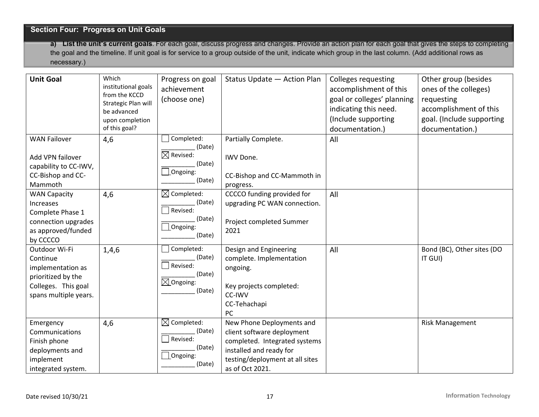# **Section Four: Progress on Unit Goals**

**a) List the unit's current goals**. For each goal, discuss progress and changes. Provide an action plan for each goal that gives the steps to completing the goal and the timeline. If unit goal is for service to a group outside of the unit, indicate which group in the last column. (Add additional rows as necessary.)

| <b>Unit Goal</b>                                                                                                     | Which<br>institutional goals<br>from the KCCD<br>Strategic Plan will<br>be advanced<br>upon completion<br>of this goal? | Progress on goal<br>achievement<br>(choose one)                                     | Status Update - Action Plan                                                                                                                                               | <b>Colleges requesting</b><br>accomplishment of this<br>goal or colleges' planning<br>indicating this need.<br>(Include supporting<br>documentation.) | Other group (besides<br>ones of the colleges)<br>requesting<br>accomplishment of this<br>goal. (Include supporting<br>documentation.) |
|----------------------------------------------------------------------------------------------------------------------|-------------------------------------------------------------------------------------------------------------------------|-------------------------------------------------------------------------------------|---------------------------------------------------------------------------------------------------------------------------------------------------------------------------|-------------------------------------------------------------------------------------------------------------------------------------------------------|---------------------------------------------------------------------------------------------------------------------------------------|
| <b>WAN Failover</b><br>Add VPN failover<br>capability to CC-IWV,<br>CC-Bishop and CC-<br>Mammoth                     | 4,6                                                                                                                     | Completed:<br>(Date)<br>$\boxtimes$ Revised:<br>(Date)<br>$\Box$ Ongoing:<br>(Date) | Partially Complete.<br>IWV Done.<br>CC-Bishop and CC-Mammoth in<br>progress.                                                                                              | All                                                                                                                                                   |                                                                                                                                       |
| <b>WAN Capacity</b><br>Increases<br>Complete Phase 1<br>connection upgrades<br>as approved/funded<br>by CCCCO        | 4,6                                                                                                                     | $\boxtimes$ Completed:<br>(Date)<br>Revised:<br>(Date)<br>Ongoing:<br>(Date)        | CCCCO funding provided for<br>upgrading PC WAN connection.<br>Project completed Summer<br>2021                                                                            | All                                                                                                                                                   |                                                                                                                                       |
| Outdoor Wi-Fi<br>Continue<br>implementation as<br>prioritized by the<br>Colleges. This goal<br>spans multiple years. | 1,4,6                                                                                                                   | Completed:<br>(Date)<br>Revised:<br>(Date)<br>$\boxtimes$ Ongoing:<br>(Date)        | Design and Engineering<br>complete. Implementation<br>ongoing.<br>Key projects completed:<br>CC-IWV<br>CC-Tehachapi<br>PC                                                 | All                                                                                                                                                   | Bond (BC), Other sites (DO<br>IT GUI)                                                                                                 |
| Emergency<br>Communications<br>Finish phone<br>deployments and<br>implement<br>integrated system.                    | 4,6                                                                                                                     | $\boxtimes$ Completed:<br>(Date)<br>Revised:<br>(Date)<br>Ongoing:<br>(Date)        | New Phone Deployments and<br>client software deployment<br>completed. Integrated systems<br>installed and ready for<br>testing/deployment at all sites<br>as of Oct 2021. |                                                                                                                                                       | <b>Risk Management</b>                                                                                                                |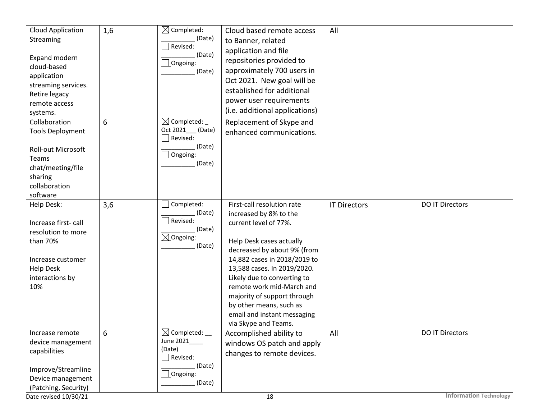| (i.e. additional applications)<br>systems.<br>$\boxtimes$ Completed:<br>Collaboration<br>6<br>Replacement of Skype and<br>Oct 2021___ (Date)<br><b>Tools Deployment</b><br>enhanced communications.<br>Revised:<br>(Date)<br>Roll-out Microsoft<br>Ongoing:                                                                                                                                                                                                                                                                                                                                                                                                            |  |
|------------------------------------------------------------------------------------------------------------------------------------------------------------------------------------------------------------------------------------------------------------------------------------------------------------------------------------------------------------------------------------------------------------------------------------------------------------------------------------------------------------------------------------------------------------------------------------------------------------------------------------------------------------------------|--|
| Teams<br>(Date)<br>chat/meeting/file<br>sharing<br>collaboration<br>software                                                                                                                                                                                                                                                                                                                                                                                                                                                                                                                                                                                           |  |
| Completed:<br>3,6<br>First-call resolution rate<br><b>DO IT Directors</b><br>Help Desk:<br><b>IT Directors</b><br>(Date)<br>increased by 8% to the<br>Revised:<br>Increase first-call<br>current level of 77%.<br>(Date)<br>resolution to more<br>$\boxtimes$ Ongoing:<br>than 70%<br>Help Desk cases actually<br>(Date)<br>decreased by about 9% (from<br>14,882 cases in 2018/2019 to<br>Increase customer<br><b>Help Desk</b><br>13,588 cases. In 2019/2020.<br>interactions by<br>Likely due to converting to<br>remote work mid-March and<br>10%<br>majority of support through<br>by other means, such as<br>email and instant messaging<br>via Skype and Teams. |  |
| $\boxtimes$ Completed: __<br>6<br><b>DO IT Directors</b><br>Accomplished ability to<br>All<br>Increase remote<br>June 2021____<br>device management<br>windows OS patch and apply<br>(Date)<br>capabilities<br>changes to remote devices.<br>$\Box$ Revised:<br>(Date)<br>Improve/Streamline<br>$\Box$ Ongoing:<br>Device management<br>(Date)<br>(Patching, Security)<br><b>Information Technology</b><br>Date revised 10/30/21<br>18                                                                                                                                                                                                                                 |  |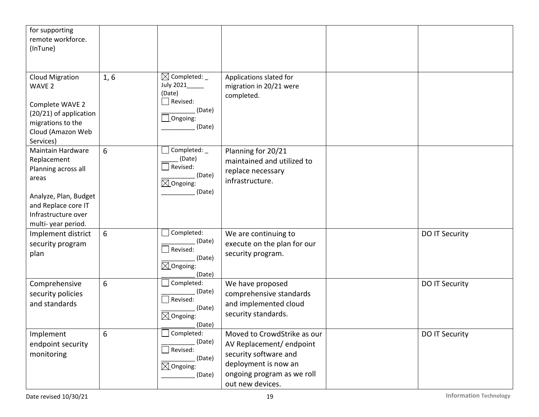| for supporting<br>remote workforce.<br>(InTune)                                                                                                               |      |                                                                                                         |                                                                                                                                                           |                |
|---------------------------------------------------------------------------------------------------------------------------------------------------------------|------|---------------------------------------------------------------------------------------------------------|-----------------------------------------------------------------------------------------------------------------------------------------------------------|----------------|
| <b>Cloud Migration</b><br>WAVE <sub>2</sub><br>Complete WAVE 2<br>(20/21) of application<br>migrations to the<br>Cloud (Amazon Web<br>Services)               | 1, 6 | $\boxtimes$ Completed: _<br>July 2021_____<br>(Date)<br>Revised:<br>(Date)<br>$\Box$ Ongoing:<br>(Date) | Applications slated for<br>migration in 20/21 were<br>completed.                                                                                          |                |
| Maintain Hardware<br>Replacement<br>Planning across all<br>areas<br>Analyze, Plan, Budget<br>and Replace core IT<br>Infrastructure over<br>multi-year period. | 6    | Completed: _<br>(Date)<br>Revised:<br>(Date)<br>$\boxtimes$ Ongoing:<br>(Date)                          | Planning for 20/21<br>maintained and utilized to<br>replace necessary<br>infrastructure.                                                                  |                |
| Implement district<br>security program<br>plan                                                                                                                | 6    | Completed:<br>(Date)<br>Revised:<br>(Date)<br>$\boxtimes$ Ongoing:<br>(Date)                            | We are continuing to<br>execute on the plan for our<br>security program.                                                                                  | DO IT Security |
| Comprehensive<br>security policies<br>and standards                                                                                                           | 6    | Completed:<br>(Date)<br>$\Box$ Revised:<br>(Date)<br>$\boxtimes$ Ongoing:<br>(Date)                     | We have proposed<br>comprehensive standards<br>and implemented cloud<br>security standards.                                                               | DO IT Security |
| Implement<br>endpoint security<br>monitoring                                                                                                                  | 6    | Completed:<br>(Date)<br>Revised:<br>(Date)<br>$\boxtimes$ Ongoing:<br>(Date)                            | Moved to CrowdStrike as our<br>AV Replacement/endpoint<br>security software and<br>deployment is now an<br>ongoing program as we roll<br>out new devices. | DO IT Security |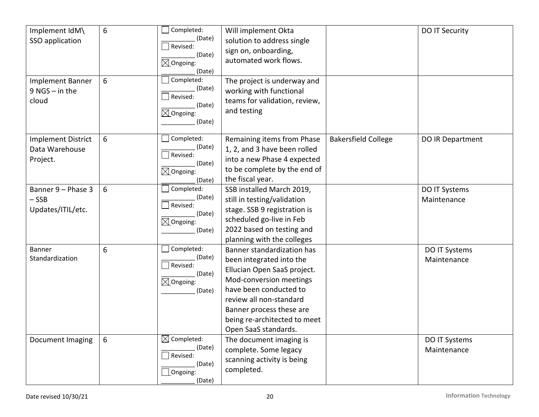| Implement IdM\<br>SSO application<br><b>Implement Banner</b><br>$9$ NGS - in the<br>cloud | 6<br>6 | Completed:<br>(Date)<br>$\Box$ Revised:<br>(Date)<br>$\boxtimes$ Ongoing:<br>(Date)<br>Completed:<br>(Date)<br>Revised:<br>(Date)<br>$\boxtimes$ Ongoing:<br>(Date) | Will implement Okta<br>solution to address single<br>sign on, onboarding,<br>automated work flows.<br>The project is underway and<br>working with functional<br>teams for validation, review,<br>and testing                                              |                            | <b>DO IT Security</b>        |
|-------------------------------------------------------------------------------------------|--------|---------------------------------------------------------------------------------------------------------------------------------------------------------------------|-----------------------------------------------------------------------------------------------------------------------------------------------------------------------------------------------------------------------------------------------------------|----------------------------|------------------------------|
| <b>Implement District</b><br>Data Warehouse<br>Project.                                   | 6      | Completed:<br>(Date)<br>$\Box$ Revised:<br>(Date)<br>$\boxtimes$ Ongoing:<br>(Date)                                                                                 | Remaining items from Phase<br>1, 2, and 3 have been rolled<br>into a new Phase 4 expected<br>to be complete by the end of<br>the fiscal year.                                                                                                             | <b>Bakersfield College</b> | DO IR Department             |
| Banner 9 - Phase 3<br>$-$ SSB<br>Updates/ITIL/etc.                                        | 6      | Completed:<br>(Date)<br>Revised:<br>(Date)<br>$\boxtimes$ Ongoing:<br>(Date)                                                                                        | SSB installed March 2019,<br>still in testing/validation<br>stage. SSB 9 registration is<br>scheduled go-live in Feb<br>2022 based on testing and<br>planning with the colleges                                                                           |                            | DO IT Systems<br>Maintenance |
| <b>Banner</b><br>Standardization                                                          | 6      | Completed:<br>(Date)<br>Revised:<br>(Date)<br>$\boxtimes$ Ongoing:<br>(Date)                                                                                        | Banner standardization has<br>been integrated into the<br>Ellucian Open SaaS project.<br>Mod-conversion meetings<br>have been conducted to<br>review all non-standard<br>Banner process these are<br>being re-architected to meet<br>Open SaaS standards. |                            | DO IT Systems<br>Maintenance |
| Document Imaging                                                                          | 6      | $\boxtimes$ Completed:<br>(Date)<br>Revised:<br>(Date)<br>$\Box$ Ongoing:<br>(Date)                                                                                 | The document imaging is<br>complete. Some legacy<br>scanning activity is being<br>completed.                                                                                                                                                              |                            | DO IT Systems<br>Maintenance |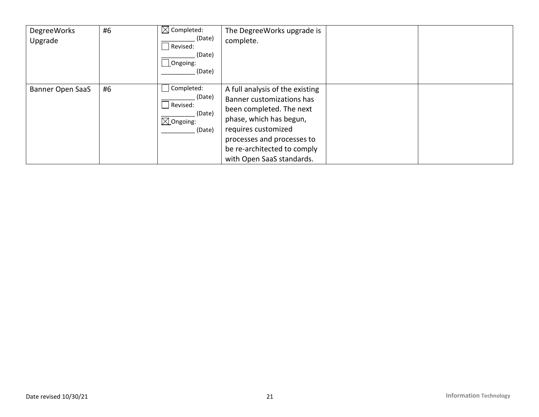| DegreeWorks<br>Upgrade | #6 | $\boxtimes$ Completed:<br>(Date)<br>  Revised:<br>(Date)<br>$\Box$ Ongoing:<br>(Date) | The DegreeWorks upgrade is<br>complete.                                                                                                                                                                                              |  |
|------------------------|----|---------------------------------------------------------------------------------------|--------------------------------------------------------------------------------------------------------------------------------------------------------------------------------------------------------------------------------------|--|
| Banner Open SaaS       | #6 | Completed:<br>(Date)<br>Revised:<br>(Date)<br>$\boxtimes$ Ongoing:<br>(Date)          | A full analysis of the existing<br>Banner customizations has<br>been completed. The next<br>phase, which has begun,<br>requires customized<br>processes and processes to<br>be re-architected to comply<br>with Open SaaS standards. |  |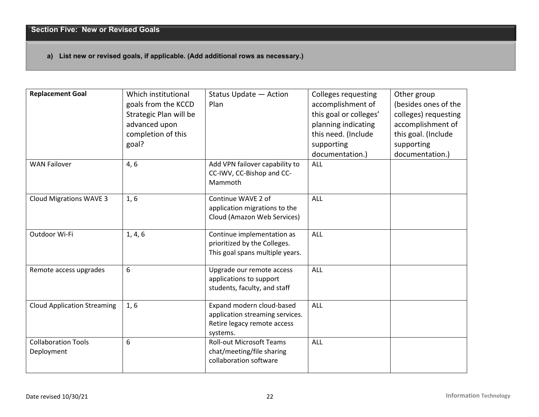# **a) List new or revised goals, if applicable. (Add additional rows as necessary.)**

| <b>Replacement Goal</b>                  | Which institutional<br>goals from the KCCD<br>Strategic Plan will be<br>advanced upon<br>completion of this<br>goal? | Status Update - Action<br>Plan                                                                          | <b>Colleges requesting</b><br>accomplishment of<br>this goal or colleges'<br>planning indicating<br>this need. (Include<br>supporting<br>documentation.) | Other group<br>(besides ones of the<br>colleges) requesting<br>accomplishment of<br>this goal. (Include<br>supporting<br>documentation.) |
|------------------------------------------|----------------------------------------------------------------------------------------------------------------------|---------------------------------------------------------------------------------------------------------|----------------------------------------------------------------------------------------------------------------------------------------------------------|------------------------------------------------------------------------------------------------------------------------------------------|
| <b>WAN Failover</b>                      | 4, 6                                                                                                                 | Add VPN failover capability to<br>CC-IWV, CC-Bishop and CC-<br>Mammoth                                  | ALL                                                                                                                                                      |                                                                                                                                          |
| <b>Cloud Migrations WAVE 3</b>           | 1, 6                                                                                                                 | Continue WAVE 2 of<br>application migrations to the<br>Cloud (Amazon Web Services)                      | ALL                                                                                                                                                      |                                                                                                                                          |
| Outdoor Wi-Fi                            | 1, 4, 6                                                                                                              | Continue implementation as<br>prioritized by the Colleges.<br>This goal spans multiple years.           | ALL                                                                                                                                                      |                                                                                                                                          |
| Remote access upgrades                   | 6                                                                                                                    | Upgrade our remote access<br>applications to support<br>students, faculty, and staff                    | ALL                                                                                                                                                      |                                                                                                                                          |
| <b>Cloud Application Streaming</b>       | 1, 6                                                                                                                 | Expand modern cloud-based<br>application streaming services.<br>Retire legacy remote access<br>systems. | ALL                                                                                                                                                      |                                                                                                                                          |
| <b>Collaboration Tools</b><br>Deployment | 6                                                                                                                    | <b>Roll-out Microsoft Teams</b><br>chat/meeting/file sharing<br>collaboration software                  | ALL                                                                                                                                                      |                                                                                                                                          |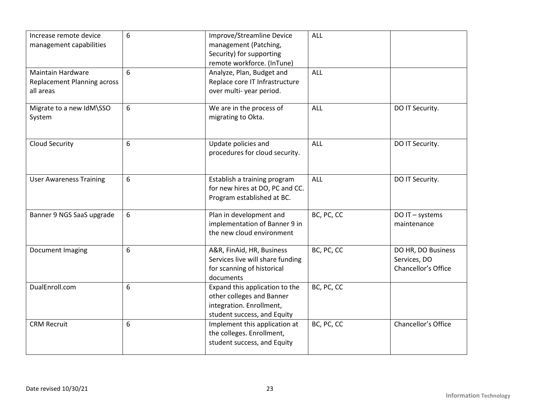| Increase remote device<br>management capabilities                           | 6 | Improve/Streamline Device<br>management (Patching,<br>Security) for supporting<br>remote workforce. (InTune)           | ALL        |                                                           |
|-----------------------------------------------------------------------------|---|------------------------------------------------------------------------------------------------------------------------|------------|-----------------------------------------------------------|
| <b>Maintain Hardware</b><br><b>Replacement Planning across</b><br>all areas | 6 | Analyze, Plan, Budget and<br>Replace core IT Infrastructure<br>over multi-year period.                                 | <b>ALL</b> |                                                           |
| Migrate to a new IdM\SSO<br>System                                          | 6 | We are in the process of<br>migrating to Okta.                                                                         | ALL        | DO IT Security.                                           |
| Cloud Security                                                              | 6 | Update policies and<br>procedures for cloud security.                                                                  | <b>ALL</b> | DO IT Security.                                           |
| <b>User Awareness Training</b>                                              | 6 | Establish a training program<br>for new hires at DO, PC and CC.<br>Program established at BC.                          | <b>ALL</b> | DO IT Security.                                           |
| Banner 9 NGS SaaS upgrade                                                   | 6 | Plan in development and<br>implementation of Banner 9 in<br>the new cloud environment                                  | BC, PC, CC | DO IT - systems<br>maintenance                            |
| Document Imaging                                                            | 6 | A&R, FinAid, HR, Business<br>Services live will share funding<br>for scanning of historical<br>documents               | BC, PC, CC | DO HR, DO Business<br>Services, DO<br>Chancellor's Office |
| DualEnroll.com                                                              | 6 | Expand this application to the<br>other colleges and Banner<br>integration. Enrollment,<br>student success, and Equity | BC, PC, CC |                                                           |
| <b>CRM Recruit</b>                                                          | 6 | Implement this application at<br>the colleges. Enrollment,<br>student success, and Equity                              | BC, PC, CC | Chancellor's Office                                       |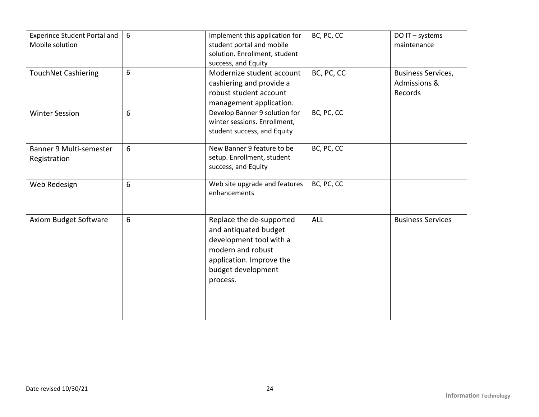| <b>Experince Student Portal and</b><br>Mobile solution | 6 | Implement this application for<br>student portal and mobile<br>solution. Enrollment, student<br>success, and Equity                                             | BC, PC, CC | DO IT - systems<br>maintenance                                  |
|--------------------------------------------------------|---|-----------------------------------------------------------------------------------------------------------------------------------------------------------------|------------|-----------------------------------------------------------------|
| <b>TouchNet Cashiering</b>                             | 6 | Modernize student account<br>cashiering and provide a<br>robust student account<br>management application.                                                      | BC, PC, CC | <b>Business Services,</b><br><b>Admissions &amp;</b><br>Records |
| <b>Winter Session</b>                                  | 6 | Develop Banner 9 solution for<br>winter sessions. Enrollment,<br>student success, and Equity                                                                    | BC, PC, CC |                                                                 |
| Banner 9 Multi-semester<br>Registration                | 6 | New Banner 9 feature to be<br>setup. Enrollment, student<br>success, and Equity                                                                                 | BC, PC, CC |                                                                 |
| Web Redesign                                           | 6 | Web site upgrade and features<br>enhancements                                                                                                                   | BC, PC, CC |                                                                 |
| Axiom Budget Software                                  | 6 | Replace the de-supported<br>and antiquated budget<br>development tool with a<br>modern and robust<br>application. Improve the<br>budget development<br>process. | <b>ALL</b> | <b>Business Services</b>                                        |
|                                                        |   |                                                                                                                                                                 |            |                                                                 |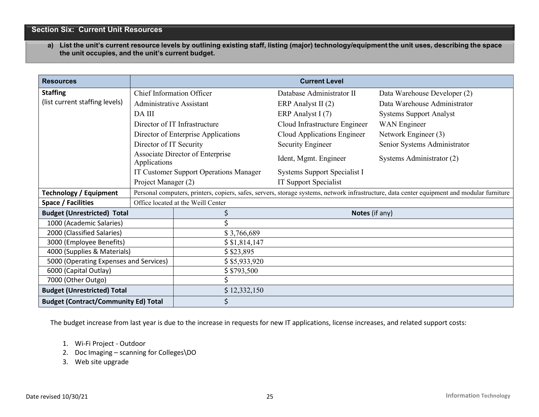# **Section Six: Current Unit Resources**

a) List the unit's current resource levels by outlining existing staff, listing (major) technology/equipment the unit uses, describing the space **the unit occupies, and the unit's current budget.**

| <b>Resources</b>                            |                                        | <b>Current Level</b>                |                                                                                                                                             |                                |  |
|---------------------------------------------|----------------------------------------|-------------------------------------|---------------------------------------------------------------------------------------------------------------------------------------------|--------------------------------|--|
| <b>Staffing</b>                             | <b>Chief Information Officer</b>       |                                     | Database Administrator II                                                                                                                   | Data Warehouse Developer (2)   |  |
| (list current staffing levels)              | Administrative Assistant               |                                     | ERP Analyst II (2)                                                                                                                          | Data Warehouse Administrator   |  |
|                                             | DA III                                 |                                     | ERP Analyst I (7)                                                                                                                           | <b>Systems Support Analyst</b> |  |
|                                             |                                        | Director of IT Infrastructure       | Cloud Infrastructure Engineer                                                                                                               | <b>WAN</b> Engineer            |  |
|                                             |                                        | Director of Enterprise Applications | Cloud Applications Engineer                                                                                                                 | Network Engineer (3)           |  |
|                                             | Director of IT Security                |                                     | <b>Security Engineer</b>                                                                                                                    | Senior Systems Administrator   |  |
|                                             | Applications                           | Associate Director of Enterprise    | Ident, Mgmt. Engineer                                                                                                                       | Systems Administrator (2)      |  |
|                                             | IT Customer Support Operations Manager |                                     | Systems Support Specialist I                                                                                                                |                                |  |
|                                             | Project Manager (2)                    |                                     | IT Support Specialist                                                                                                                       |                                |  |
| <b>Technology / Equipment</b>               |                                        |                                     | Personal computers, printers, copiers, safes, servers, storage systems, network infrastructure, data center equipment and modular furniture |                                |  |
| Space / Facilities                          |                                        | Office located at the Weill Center  |                                                                                                                                             |                                |  |
| <b>Budget (Unrestricted) Total</b>          |                                        | Notes (if any)                      |                                                                                                                                             |                                |  |
| 1000 (Academic Salaries)                    |                                        |                                     |                                                                                                                                             |                                |  |
| 2000 (Classified Salaries)                  |                                        | \$3,766,689                         |                                                                                                                                             |                                |  |
| 3000 (Employee Benefits)                    |                                        | \$1,814,147                         |                                                                                                                                             |                                |  |
| 4000 (Supplies & Materials)                 |                                        | \$23,895                            |                                                                                                                                             |                                |  |
| 5000 (Operating Expenses and Services)      |                                        | \$5,933,920                         |                                                                                                                                             |                                |  |
| 6000 (Capital Outlay)                       |                                        | \$3793,500                          |                                                                                                                                             |                                |  |
| 7000 (Other Outgo)                          |                                        |                                     |                                                                                                                                             |                                |  |
| <b>Budget (Unrestricted) Total</b>          |                                        | \$12,332,150                        |                                                                                                                                             |                                |  |
| <b>Budget (Contract/Community Ed) Total</b> |                                        | \$                                  |                                                                                                                                             |                                |  |

The budget increase from last year is due to the increase in requests for new IT applications, license increases, and related support costs:

- 1. Wi-Fi Project Outdoor
- 2. Doc Imaging scanning for Colleges\DO
- 3. Web site upgrade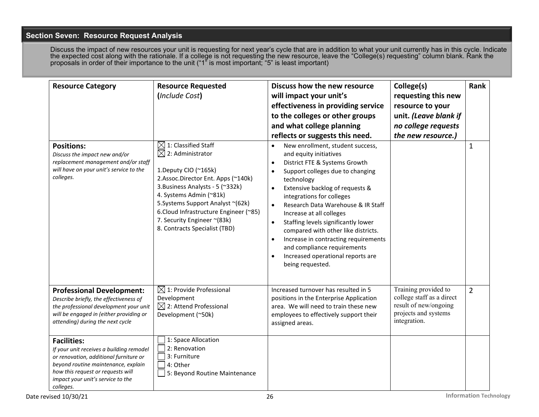# **Section Seven: Resource Request Analysis**

Discuss the impact of new resources your unit is requesting for next year's cycle that are in addition to what your unit currently has in this cycle. Indicate the expected cost along with the rationale. If a college is not requesting the new resource, leave the "College(s) requesting" column blank. Rank the proposals in order of their importance to the unit ("1" is most important; "5" is least important)

| <b>Resource Category</b><br><b>Positions:</b><br>Discuss the impact new and/or<br>replacement management and/or staff<br>will have on your unit's service to the<br>colleges.                                                          | <b>Resource Requested</b><br>(Include Cost)<br>$\boxtimes$ 1: Classified Staff<br>$\boxtimes$ 2: Administrator<br>1.Deputy CIO (~165k)<br>2.Assoc.Director Ent. Apps (~140k)<br>3. Business Analysts - 5 (~332k)<br>4. Systems Admin (~81k)<br>5. Systems Support Analyst ~(62k)<br>6. Cloud Infrastructure Engineer (~85)<br>7. Security Engineer ~(83k)<br>8. Contracts Specialist (TBD) | Discuss how the new resource<br>will impact your unit's<br>effectiveness in providing service<br>to the colleges or other groups<br>and what college planning<br>reflects or suggests this need.<br>New enrollment, student success,<br>$\bullet$<br>and equity initiatives<br>District FTE & Systems Growth<br>$\bullet$<br>Support colleges due to changing<br>$\bullet$<br>technology<br>Extensive backlog of requests &<br>$\bullet$<br>integrations for colleges<br>Research Data Warehouse & IR Staff<br>$\bullet$<br>Increase at all colleges<br>Staffing levels significantly lower<br>$\bullet$<br>compared with other like districts.<br>Increase in contracting requirements<br>$\bullet$<br>and compliance requirements<br>Increased operational reports are<br>$\bullet$<br>being requested. | College(s)<br>requesting this new<br>resource to your<br>unit. (Leave blank if<br>no college requests<br>the new resource.) | Rank<br>$\mathbf{1}$ |
|----------------------------------------------------------------------------------------------------------------------------------------------------------------------------------------------------------------------------------------|--------------------------------------------------------------------------------------------------------------------------------------------------------------------------------------------------------------------------------------------------------------------------------------------------------------------------------------------------------------------------------------------|-----------------------------------------------------------------------------------------------------------------------------------------------------------------------------------------------------------------------------------------------------------------------------------------------------------------------------------------------------------------------------------------------------------------------------------------------------------------------------------------------------------------------------------------------------------------------------------------------------------------------------------------------------------------------------------------------------------------------------------------------------------------------------------------------------------|-----------------------------------------------------------------------------------------------------------------------------|----------------------|
| <b>Professional Development:</b><br>Describe briefly, the effectiveness of<br>the professional development your unit<br>will be engaged in (either providing or<br>attending) during the next cycle                                    | $\boxtimes$ 1: Provide Professional<br>Development<br>$\boxtimes$ 2: Attend Professional<br>Development (~50k)                                                                                                                                                                                                                                                                             | Increased turnover has resulted in 5<br>positions in the Enterprise Application<br>area. We will need to train these new<br>employees to effectively support their<br>assigned areas.                                                                                                                                                                                                                                                                                                                                                                                                                                                                                                                                                                                                                     | Training provided to<br>college staff as a direct<br>result of new/ongoing<br>projects and systems<br>integration.          | $\overline{2}$       |
| <b>Facilities:</b><br>If your unit receives a building remodel<br>or renovation, additional furniture or<br>beyond routine maintenance, explain<br>how this request or requests will<br>impact your unit's service to the<br>colleges. | 1: Space Allocation<br>2: Renovation<br>3: Furniture<br>4: Other<br>5: Beyond Routine Maintenance                                                                                                                                                                                                                                                                                          |                                                                                                                                                                                                                                                                                                                                                                                                                                                                                                                                                                                                                                                                                                                                                                                                           |                                                                                                                             |                      |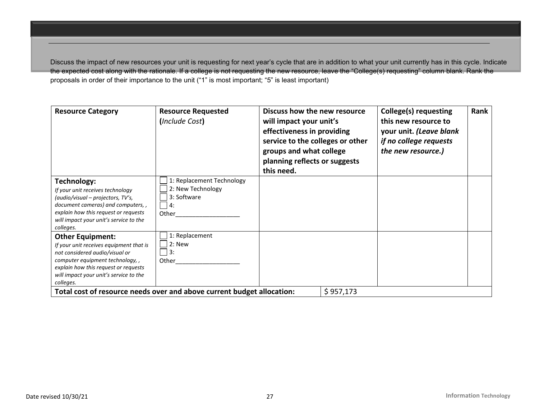Discuss the impact of new resources your unit is requesting for next year's cycle that are in addition to what your unit currently has in this cycle. Indicate the expected cost along with the rationale. If a college is not requesting the new resource, leave the "College(s) requesting" column blank. Rank the proposals in order of their importance to the unit ("1" is most important; "5" is least important)

| <b>Resource Category</b>                                                                                                                                                                                                               | <b>Resource Requested</b><br>(Include Cost)                                  | Discuss how the new resource<br>will impact your unit's<br>effectiveness in providing<br>service to the colleges or other<br>groups and what college<br>planning reflects or suggests<br>this need. |           | College(s) requesting<br>this new resource to<br>your unit. (Leave blank<br>if no college requests<br>the new resource.) | Rank |
|----------------------------------------------------------------------------------------------------------------------------------------------------------------------------------------------------------------------------------------|------------------------------------------------------------------------------|-----------------------------------------------------------------------------------------------------------------------------------------------------------------------------------------------------|-----------|--------------------------------------------------------------------------------------------------------------------------|------|
| Technology:<br>If your unit receives technology<br>(audio/visual - projectors, TV's,<br>document cameras) and computers,,<br>explain how this request or requests<br>will impact your unit's service to the<br>colleges.               | 1: Replacement Technology<br>2: New Technology<br>3: Software<br>4:<br>Other |                                                                                                                                                                                                     |           |                                                                                                                          |      |
| <b>Other Equipment:</b><br>If your unit receives equipment that is<br>not considered audio/visual or<br>computer equipment technology,,<br>explain how this request or requests<br>will impact your unit's service to the<br>colleges. | 1: Replacement<br>$2:$ New<br>3:<br>Other                                    |                                                                                                                                                                                                     |           |                                                                                                                          |      |
|                                                                                                                                                                                                                                        | Total cost of resource needs over and above current budget allocation:       |                                                                                                                                                                                                     | \$957,173 |                                                                                                                          |      |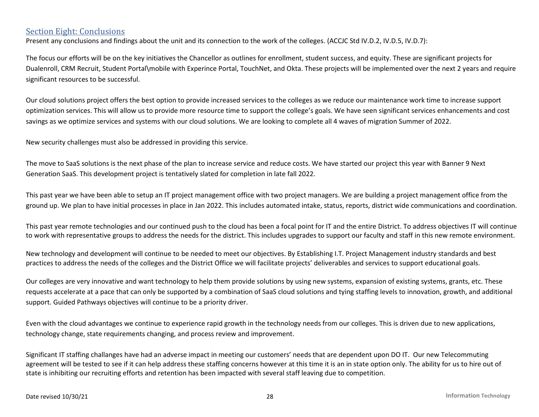# Section Eight: Conclusions

Present any conclusions and findings about the unit and its connection to the work of the colleges. (ACCJC Std IV.D.2, IV.D.5, IV.D.7):

The focus our efforts will be on the key initiatives the Chancellor as outlines for enrollment, student success, and equity. These are significant projects for Dualenroll, CRM Recruit, Student Portal\mobile with Experince Portal, TouchNet, and Okta. These projects will be implemented over the next 2 years and require significant resources to be successful.

Our cloud solutions project offers the best option to provide increased services to the colleges as we reduce our maintenance work time to increase support optimization services. This will allow us to provide more resource time to support the college's goals. We have seen significant services enhancements and cost savings as we optimize services and systems with our cloud solutions. We are looking to complete all 4 waves of migration Summer of 2022.

New security challenges must also be addressed in providing this service.

The move to SaaS solutions is the next phase of the plan to increase service and reduce costs. We have started our project this year with Banner 9 Next Generation SaaS. This development project is tentatively slated for completion in late fall 2022.

This past year we have been able to setup an IT project management office with two project managers. We are building a project management office from the ground up. We plan to have initial processes in place in Jan 2022. This includes automated intake, status, reports, district wide communications and coordination.

This past year remote technologies and our continued push to the cloud has been a focal point for IT and the entire District. To address objectives IT will continue to work with representative groups to address the needs for the district. This includes upgrades to support our faculty and staff in this new remote environment.

New technology and development will continue to be needed to meet our objectives. By Establishing I.T. Project Management industry standards and best practices to address the needs of the colleges and the District Office we will facilitate projects' deliverables and services to support educational goals.

Our colleges are very innovative and want technology to help them provide solutions by using new systems, expansion of existing systems, grants, etc. These requests accelerate at a pace that can only be supported by a combination of SaaS cloud solutions and tying staffing levels to innovation, growth, and additional support. Guided Pathways objectives will continue to be a priority driver.

Even with the cloud advantages we continue to experience rapid growth in the technology needs from our colleges. This is driven due to new applications, technology change, state requirements changing, and process review and improvement.

Significant IT staffing challanges have had an adverse impact in meeting our customers' needs that are dependent upon DO IT. Our new Telecommuting agreement will be tested to see if it can help address these staffing concerns however at this time it is an in state option only. The ability for us to hire out of state is inhibiting our recruiting efforts and retention has been impacted with several staff leaving due to competition.